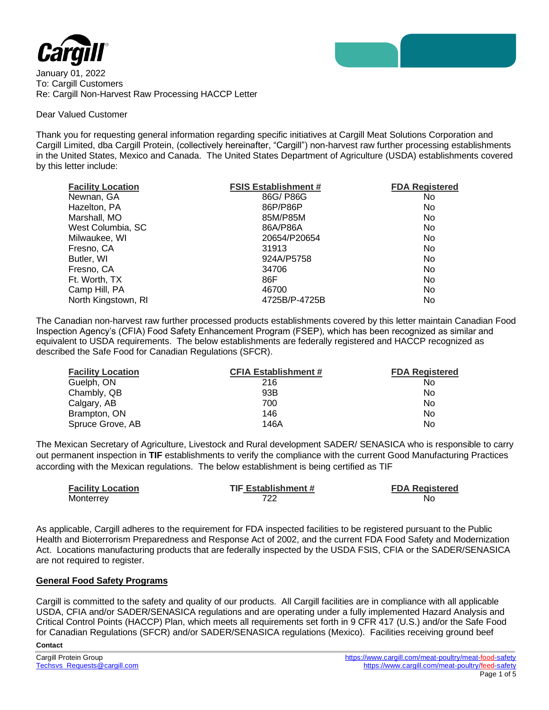

January 01, 2022 To: Cargill Customers Re: Cargill Non-Harvest Raw Processing HACCP Letter

## Dear Valued Customer

Thank you for requesting general information regarding specific initiatives at Cargill Meat Solutions Corporation and Cargill Limited, dba Cargill Protein, (collectively hereinafter, "Cargill") non-harvest raw further processing establishments in the United States, Mexico and Canada. The United States Department of Agriculture (USDA) establishments covered by this letter include:

| <b>Facility Location</b> | <b>FSIS Establishment #</b> | <b>FDA Registered</b> |
|--------------------------|-----------------------------|-----------------------|
| Newnan, GA               | 86G/P86G                    | No.                   |
| Hazelton, PA             | 86P/P86P                    | No                    |
| Marshall, MO             | 85M/P85M                    | No.                   |
| West Columbia, SC        | 86A/P86A                    | No.                   |
| Milwaukee, WI            | 20654/P20654                | No.                   |
| Fresno, CA               | 31913                       | No.                   |
| Butler, WI               | 924A/P5758                  | No.                   |
| Fresno, CA               | 34706                       | <b>No</b>             |
| Ft. Worth, TX            | 86F                         | No                    |
| Camp Hill, PA            | 46700                       | No.                   |
| North Kingstown, RI      | 4725B/P-4725B               | No                    |

The Canadian non-harvest raw further processed products establishments covered by this letter maintain Canadian Food Inspection Agency's (CFIA) Food Safety Enhancement Program (FSEP), which has been recognized as similar and equivalent to USDA requirements. The below establishments are federally registered and HACCP recognized as described the Safe Food for Canadian Regulations (SFCR).

| <b>Facility Location</b> | <b>CFIA Establishment #</b> | <b>FDA Registered</b> |
|--------------------------|-----------------------------|-----------------------|
| Guelph, ON               | 216                         | N <sub>0</sub>        |
| Chambly, QB              | 93B                         | N <sub>0</sub>        |
| Calgary, AB              | 700                         | N <sub>0</sub>        |
| Brampton, ON             | 146                         | N <sub>0</sub>        |
| Spruce Grove, AB         | 146A                        | No                    |

The Mexican Secretary of Agriculture, Livestock and Rural development SADER/ SENASICA who is responsible to carry out permanent inspection in **TIF** establishments to verify the compliance with the current Good Manufacturing Practices according with the Mexican regulations. The below establishment is being certified as TIF

| <b>Facility Location</b> | <b>TIF Establishment #</b> | <b>FDA Registered</b> |
|--------------------------|----------------------------|-----------------------|
| Monterrey                | 722                        | No                    |

As applicable, Cargill adheres to the requirement for FDA inspected facilities to be registered pursuant to the Public Health and Bioterrorism Preparedness and Response Act of 2002, and the current FDA Food Safety and Modernization Act. Locations manufacturing products that are federally inspected by the USDA FSIS, CFIA or the SADER/SENASICA are not required to register.

## **General Food Safety Programs**

Cargill is committed to the safety and quality of our products. All Cargill facilities are in compliance with all applicable USDA, CFIA and/or SADER/SENASICA regulations and are operating under a fully implemented Hazard Analysis and Critical Control Points (HACCP) Plan, which meets all requirements set forth in 9 CFR 417 (U.S.) and/or the Safe Food for Canadian Regulations (SFCR) and/or SADER/SENASICA regulations (Mexico). Facilities receiving ground beef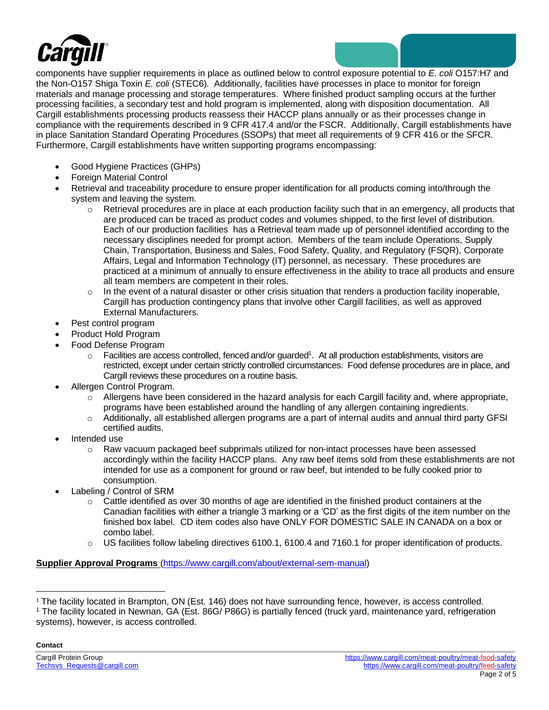

components have supplier requirements in place as outlined below to control exposure potential to *E. coli* O157:H7 and the Non-O157 Shiga Toxin *E. coli* (STEC6). Additionally, facilities have processes in place to monitor for foreign materials and manage processing and storage temperatures. Where finished product sampling occurs at the further processing facilities, a secondary test and hold program is implemented, along with disposition documentation. All Cargill establishments processing products reassess their HACCP plans annually or as their processes change in compliance with the requirements described in 9 CFR 417.4 and/or the FSCR. Additionally, Cargill establishments have in place Sanitation Standard Operating Procedures (SSOPs) that meet all requirements of 9 CFR 416 or the SFCR. Furthermore, Cargill establishments have written supporting programs encompassing:

- Good Hygiene Practices (GHPs)
- Foreign Material Control
- Retrieval and traceability procedure to ensure proper identification for all products coming into/through the system and leaving the system.
	- $\circ$  Retrieval procedures are in place at each production facility such that in an emergency, all products that are produced can be traced as product codes and volumes shipped, to the first level of distribution. Each of our production facilities has a Retrieval team made up of personnel identified according to the necessary disciplines needed for prompt action. Members of the team include Operations, Supply Chain, Transportation, Business and Sales, Food Safety, Quality, and Regulatory (FSQR), Corporate Affairs, Legal and Information Technology (IT) personnel, as necessary. These procedures are practiced at a minimum of annually to ensure effectiveness in the ability to trace all products and ensure all team members are competent in their roles.
	- $\circ$  In the event of a natural disaster or other crisis situation that renders a production facility inoperable, Cargill has production contingency plans that involve other Cargill facilities, as well as approved External Manufacturers.
- Pest control program
- Product Hold Program
- Food Defense Program
	- $\circ$  Facilities are access controlled, fenced and/or guarded<sup>1</sup>. At all production establishments, visitors are restricted, except under certain strictly controlled circumstances. Food defense procedures are in place, and Cargill reviews these procedures on a routine basis.
- Allergen Control Program.
	- $\circ$  Allergens have been considered in the hazard analysis for each Cargill facility and, where appropriate, programs have been established around the handling of any allergen containing ingredients.
	- $\circ$  Additionally, all established allergen programs are a part of internal audits and annual third party GFSI certified audits.
- Intended use
	- o Raw vacuum packaged beef subprimals utilized for non-intact processes have been assessed accordingly within the facility HACCP plans. Any raw beef items sold from these establishments are not intended for use as a component for ground or raw beef, but intended to be fully cooked prior to consumption.
- Labeling / Control of SRM
	- $\circ$  Cattle identified as over 30 months of age are identified in the finished product containers at the Canadian facilities with either a triangle 3 marking or a 'CD' as the first digits of the item number on the finished box label. CD item codes also have ONLY FOR DOMESTIC SALE IN CANADA on a box or combo label.
	- o US facilities follow labeling directives 6100.1, 6100.4 and 7160.1 for proper identification of products.

# **Supplier Approval Programs** [\(https://www.cargill.com/about/external-sem-manual\)](https://www.cargill.com/about/external-sem-manual)

<sup>1</sup> The facility located in Brampton, ON (Est. 146) does not have surrounding fence, however, is access controlled.

<sup>&</sup>lt;sup>1</sup> The facility located in Newnan, GA (Est. 86G/ P86G) is partially fenced (truck yard, maintenance yard, refrigeration systems), however, is access controlled.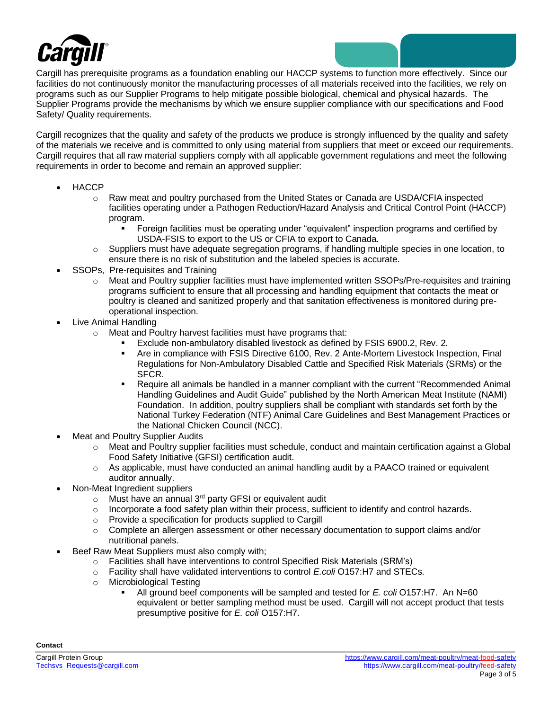

Cargill has prerequisite programs as a foundation enabling our HACCP systems to function more effectively. Since our facilities do not continuously monitor the manufacturing processes of all materials received into the facilities, we rely on programs such as our Supplier Programs to help mitigate possible biological, chemical and physical hazards. The Supplier Programs provide the mechanisms by which we ensure supplier compliance with our specifications and Food Safety/ Quality requirements.

Cargill recognizes that the quality and safety of the products we produce is strongly influenced by the quality and safety of the materials we receive and is committed to only using material from suppliers that meet or exceed our requirements. Cargill requires that all raw material suppliers comply with all applicable government regulations and meet the following requirements in order to become and remain an approved supplier:

- HACCP
	- o Raw meat and poultry purchased from the United States or Canada are USDA/CFIA inspected facilities operating under a Pathogen Reduction/Hazard Analysis and Critical Control Point (HACCP) program.
		- Foreign facilities must be operating under "equivalent" inspection programs and certified by USDA-FSIS to export to the US or CFIA to export to Canada.
	- $\circ$  Suppliers must have adequate segregation programs, if handling multiple species in one location, to ensure there is no risk of substitution and the labeled species is accurate.
- SSOPs, Pre-requisites and Training
	- o Meat and Poultry supplier facilities must have implemented written SSOPs/Pre-requisites and training programs sufficient to ensure that all processing and handling equipment that contacts the meat or poultry is cleaned and sanitized properly and that sanitation effectiveness is monitored during preoperational inspection.
- Live Animal Handling
	- o Meat and Poultry harvest facilities must have programs that:
		- Exclude non-ambulatory disabled livestock as defined by FSIS 6900.2, Rev. 2.
		- Are in compliance with FSIS Directive 6100, Rev. 2 Ante-Mortem Livestock Inspection, Final Regulations for Non-Ambulatory Disabled Cattle and Specified Risk Materials (SRMs) or the SFCR.
		- Require all animals be handled in a manner compliant with the current "Recommended Animal Handling Guidelines and Audit Guide" published by the North American Meat Institute (NAMI) Foundation. In addition, poultry suppliers shall be compliant with standards set forth by the National Turkey Federation (NTF) Animal Care Guidelines and Best Management Practices or the National Chicken Council (NCC).
- Meat and Poultry Supplier Audits
	- o Meat and Poultry supplier facilities must schedule, conduct and maintain certification against a Global Food Safety Initiative (GFSI) certification audit.
	- o As applicable, must have conducted an animal handling audit by a PAACO trained or equivalent auditor annually.
- Non-Meat Ingredient suppliers
	- $\circ$  Must have an annual 3<sup>rd</sup> party GFSI or equivalent audit
	- $\circ$  Incorporate a food safety plan within their process, sufficient to identify and control hazards.
	- o Provide a specification for products supplied to Cargill
	- $\circ$  Complete an allergen assessment or other necessary documentation to support claims and/or nutritional panels.
- Beef Raw Meat Suppliers must also comply with;
	- o Facilities shall have interventions to control Specified Risk Materials (SRM's)
	- o Facility shall have validated interventions to control *E.coli* O157:H7 and STECs.
	- o Microbiological Testing
		- All ground beef components will be sampled and tested for *E. coli* O157:H7. An N=60 equivalent or better sampling method must be used. Cargill will not accept product that tests presumptive positive for *E. coli* O157:H7.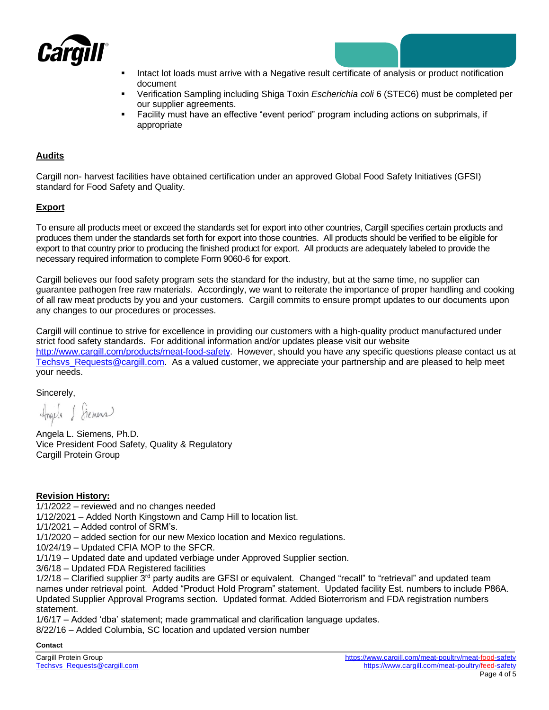

- Intact lot loads must arrive with a Negative result certificate of analysis or product notification document
- Verification Sampling including Shiga Toxin *Escherichia coli* 6 (STEC6) must be completed per our supplier agreements.
- Facility must have an effective "event period" program including actions on subprimals, if appropriate

# **Audits**

Cargill non- harvest facilities have obtained certification under an approved Global Food Safety Initiatives (GFSI) standard for Food Safety and Quality.

# **Export**

To ensure all products meet or exceed the standards set for export into other countries, Cargill specifies certain products and produces them under the standards set forth for export into those countries. All products should be verified to be eligible for export to that country prior to producing the finished product for export. All products are adequately labeled to provide the necessary required information to complete Form 9060-6 for export.

Cargill believes our food safety program sets the standard for the industry, but at the same time, no supplier can guarantee pathogen free raw materials. Accordingly, we want to reiterate the importance of proper handling and cooking of all raw meat products by you and your customers. Cargill commits to ensure prompt updates to our documents upon any changes to our procedures or processes.

Cargill will continue to strive for excellence in providing our customers with a high-quality product manufactured under strict food safety standards. For additional information and/or updates please visit our website [http://www.cargill.com/products/meat-food-safety.](http://www.cargill.com/products/meat-food-safety) However, should you have any specific questions please contact us at Techsys Requests@cargill.com. As a valued customer, we appreciate your partnership and are pleased to help meet your needs.

Sincerely,

Ingela & Siemens

Angela L. Siemens, Ph.D. Vice President Food Safety, Quality & Regulatory Cargill Protein Group

# **Revision History:**

1/1/2022 – reviewed and no changes needed

1/12/2021 – Added North Kingstown and Camp Hill to location list.

1/1/2021 – Added control of SRM's.

1/1/2020 – added section for our new Mexico location and Mexico regulations.

10/24/19 – Updated CFIA MOP to the SFCR.

1/1/19 – Updated date and updated verbiage under Approved Supplier section.

3/6/18 – Updated FDA Registered facilities

1/2/18 – Clarified supplier 3<sup>rd</sup> party audits are GFSI or equivalent. Changed "recall" to "retrieval" and updated team names under retrieval point. Added "Product Hold Program" statement. Updated facility Est. numbers to include P86A. Updated Supplier Approval Programs section. Updated format. Added Bioterrorism and FDA registration numbers statement.

1/6/17 – Added 'dba' statement; made grammatical and clarification language updates.

8/22/16 – Added Columbia, SC location and updated version number